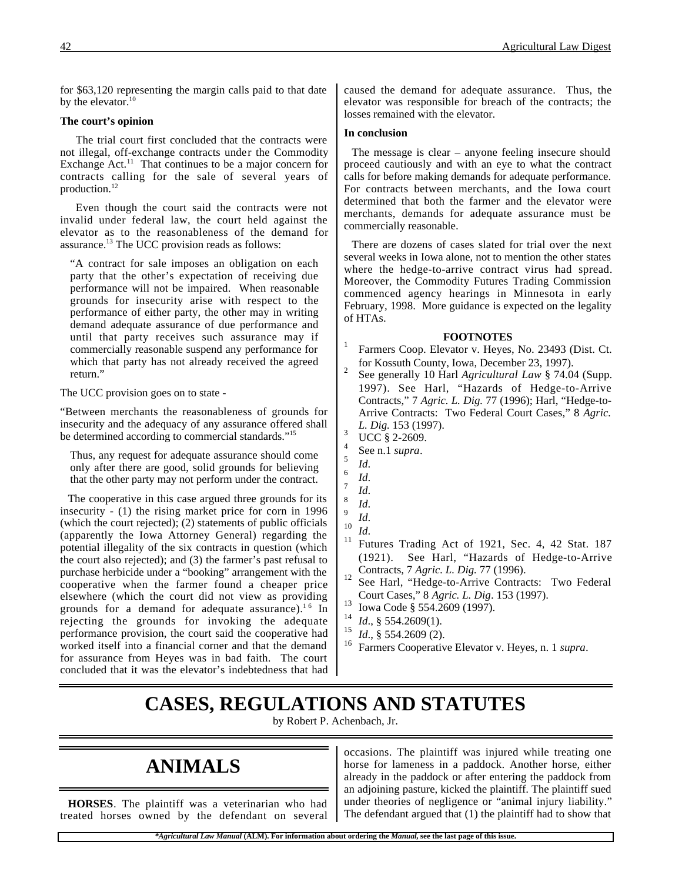for \$63,120 representing the margin calls paid to that date by the elevator. $10$ 

#### **The court's opinion**

The trial court first concluded that the contracts were not illegal, off-exchange contracts under the Commodity Exchange Act.<sup>11</sup> That continues to be a major concern for contracts calling for the sale of several years of production.<sup>12</sup>

Even though the court said the contracts were not invalid under federal law, the court held against the elevator as to the reasonableness of the demand for assurance.13 The UCC provision reads as follows:

"A contract for sale imposes an obligation on each party that the other's expectation of receiving due performance will not be impaired. When reasonable grounds for insecurity arise with respect to the performance of either party, the other may in writing demand adequate assurance of due performance and until that party receives such assurance may if commercially reasonable suspend any performance for which that party has not already received the agreed return."

The UCC provision goes on to state -

"Between merchants the reasonableness of grounds for insecurity and the adequacy of any assurance offered shall be determined according to commercial standards."<sup>15</sup>

Thus, any request for adequate assurance should come only after there are good, solid grounds for believing that the other party may not perform under the contract.

The cooperative in this case argued three grounds for its insecurity - (1) the rising market price for corn in 1996 (which the court rejected); (2) statements of public officials (apparently the Iowa Attorney General) regarding the potential illegality of the six contracts in question (which the court also rejected); and (3) the farmer's past refusal to purchase herbicide under a "booking" arrangement with the cooperative when the farmer found a cheaper price elsewhere (which the court did not view as providing grounds for a demand for adequate assurance).<sup>16</sup> In rejecting the grounds for invoking the adequate performance provision, the court said the cooperative had worked itself into a financial corner and that the demand for assurance from Heyes was in bad faith. The court concluded that it was the elevator's indebtedness that had caused the demand for adequate assurance. Thus, the elevator was responsible for breach of the contracts; the losses remained with the elevator.

#### **In conclusion**

The message is clear – anyone feeling insecure should proceed cautiously and with an eye to what the contract calls for before making demands for adequate performance. For contracts between merchants, and the Iowa court determined that both the farmer and the elevator were merchants, demands for adequate assurance must be commercially reasonable.

There are dozens of cases slated for trial over the next several weeks in Iowa alone, not to mention the other states where the hedge-to-arrive contract virus had spread. Moreover, the Commodity Futures Trading Commission commenced agency hearings in Minnesota in early February, 1998. More guidance is expected on the legality of HTAs.

#### **FOOTNOTES**

- Farmers Coop. Elevator v. Heyes, No. 23493 (Dist. Ct. for Kossuth County, Iowa, December 23, 1997).<br>See generally 10 Harl *Agricultural Law* § 74.04 (Supp.)
- 1997). See Harl, "Hazards of Hedge-to-Arrive Contracts," 7 *Agric. L. Dig.* 77 (1996); Harl, "Hedge-to-Arrive Contracts: Two Federal Court Cases," 8 *Agric. L. Dig.* 153 (1997).<br><sup>3</sup> UCC § 2-2609.
- 
- 
- 
- 
- 
- 
- 
- 4 See n.1 *supra*.<br>
5 *Id.*<br>
6 *Id.*<br>
7 *Id.*<br>
8 *Id.*<br>
9 *Id.*<br>
<sup>10</sup> *Id.*<br>
<sup>11</sup> Futures Trading Act of 1921, Sec. 4, 42 Stat. 187 (1921). See Harl, "Hazards of Hedge-to-Arrive
- <sup>12</sup> Contracts, 7 *Agric. L. Dig.* 77 (1996).<br><sup>12</sup> See Harl, "Hedge-to-Arrive Contracts: Two Federal Court Cases," 8 *Agric. L. Dig.* 153 (1997).<br>
Iowa Code § 554.2609 (1997).
- 
- <sup>14</sup> *Id.*, § 554.2609(1).<br><sup>15</sup> *Id.* § 554.2600(2).
- *Id.*, § 554.2609 (2).
- <sup>16</sup> Farmers Cooperative Elevator v. Heyes, n. 1 *supra*.

## **CASES, REGULATIONS AND STATUTES**

by Robert P. Achenbach, Jr.

# **ANIMALS**

**HORSES**. The plaintiff was a veterinarian who had treated horses owned by the defendant on several occasions. The plaintiff was injured while treating one horse for lameness in a paddock. Another horse, either already in the paddock or after entering the paddock from an adjoining pasture, kicked the plaintiff. The plaintiff sued under theories of negligence or "animal injury liability." The defendant argued that (1) the plaintiff had to show that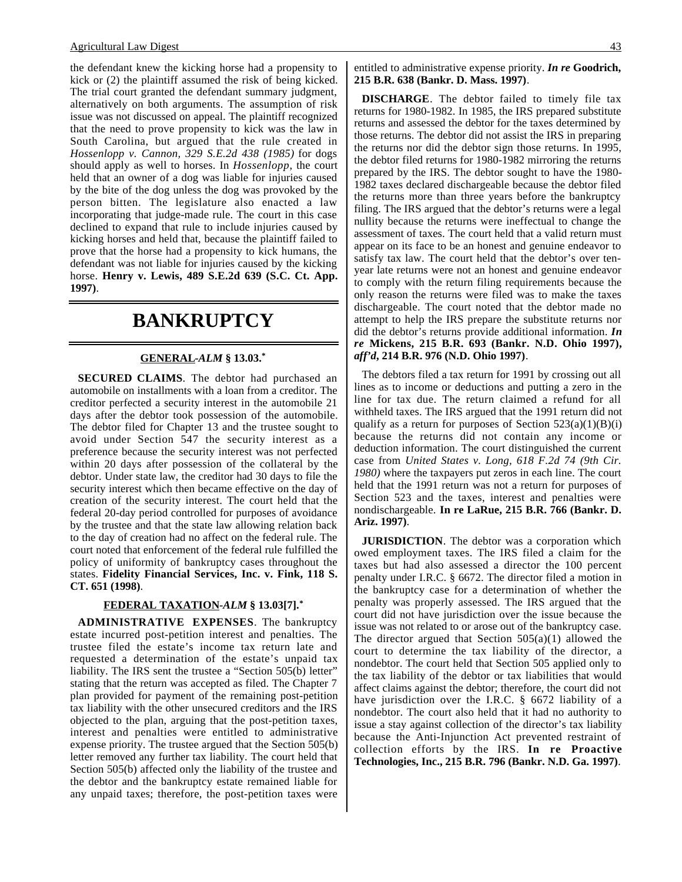the defendant knew the kicking horse had a propensity to kick or (2) the plaintiff assumed the risk of being kicked. The trial court granted the defendant summary judgment, alternatively on both arguments. The assumption of risk issue was not discussed on appeal. The plaintiff recognized that the need to prove propensity to kick was the law in South Carolina, but argued that the rule created in *Hossenlopp v. Cannon, 329 S.E.2d 438 (1985)* for dogs should apply as well to horses. In *Hossenlopp*, the court held that an owner of a dog was liable for injuries caused by the bite of the dog unless the dog was provoked by the person bitten. The legislature also enacted a law incorporating that judge-made rule. The court in this case declined to expand that rule to include injuries caused by kicking horses and held that, because the plaintiff failed to prove that the horse had a propensity to kick humans, the defendant was not liable for injuries caused by the kicking horse. **Henry v. Lewis, 489 S.E.2d 639 (S.C. Ct. App. 1997)**.

### **BANKRUPTCY**

### **GENERAL -***ALM* **§ 13.03.\***

**SECURED CLAIMS**. The debtor had purchased an automobile on installments with a loan from a creditor. The creditor perfected a security interest in the automobile 21 days after the debtor took possession of the automobile. The debtor filed for Chapter 13 and the trustee sought to avoid under Section 547 the security interest as a preference because the security interest was not perfected within 20 days after possession of the collateral by the debtor. Under state law, the creditor had 30 days to file the security interest which then became effective on the day of creation of the security interest. The court held that the federal 20-day period controlled for purposes of avoidance by the trustee and that the state law allowing relation back to the day of creation had no affect on the federal rule. The court noted that enforcement of the federal rule fulfilled the policy of uniformity of bankruptcy cases throughout the states. **Fidelity Financial Services, Inc. v. Fink, 118 S. CT. 651 (1998)**.

### **FEDERAL TAXATION -***ALM* **§ 13.03[7].\***

**ADMINISTRATIVE EXPENSES**. The bankruptcy estate incurred post-petition interest and penalties. The trustee filed the estate's income tax return late and requested a determination of the estate's unpaid tax liability. The IRS sent the trustee a "Section 505(b) letter" stating that the return was accepted as filed. The Chapter 7 plan provided for payment of the remaining post-petition tax liability with the other unsecured creditors and the IRS objected to the plan, arguing that the post-petition taxes, interest and penalties were entitled to administrative expense priority. The trustee argued that the Section 505(b) letter removed any further tax liability. The court held that Section 505(b) affected only the liability of the trustee and the debtor and the bankruptcy estate remained liable for any unpaid taxes; therefore, the post-petition taxes were

entitled to administrative expense priority. *In re* **Goodrich, 215 B.R. 638 (Bankr. D. Mass. 1997)**.

**DISCHARGE**. The debtor failed to timely file tax returns for 1980-1982. In 1985, the IRS prepared substitute returns and assessed the debtor for the taxes determined by those returns. The debtor did not assist the IRS in preparing the returns nor did the debtor sign those returns. In 1995, the debtor filed returns for 1980-1982 mirroring the returns prepared by the IRS. The debtor sought to have the 1980- 1982 taxes declared dischargeable because the debtor filed the returns more than three years before the bankruptcy filing. The IRS argued that the debtor's returns were a legal nullity because the returns were ineffectual to change the assessment of taxes. The court held that a valid return must appear on its face to be an honest and genuine endeavor to satisfy tax law. The court held that the debtor's over tenyear late returns were not an honest and genuine endeavor to comply with the return filing requirements because the only reason the returns were filed was to make the taxes dischargeable. The court noted that the debtor made no attempt to help the IRS prepare the substitute returns nor did the debtor's returns provide additional information. *In re* **Mickens, 215 B.R. 693 (Bankr. N.D. Ohio 1997),** *aff'd***, 214 B.R. 976 (N.D. Ohio 1997)**.

The debtors filed a tax return for 1991 by crossing out all lines as to income or deductions and putting a zero in the line for tax due. The return claimed a refund for all withheld taxes. The IRS argued that the 1991 return did not qualify as a return for purposes of Section  $523(a)(1)(B)(i)$ because the returns did not contain any income or deduction information. The court distinguished the current case from *United States v. Long, 618 F.2d 74 (9th Cir. 1980)* where the taxpayers put zeros in each line. The court held that the 1991 return was not a return for purposes of Section 523 and the taxes, interest and penalties were nondischargeable. **In re LaRue, 215 B.R. 766 (Bankr. D. Ariz. 1997)**.

**JURISDICTION**. The debtor was a corporation which owed employment taxes. The IRS filed a claim for the taxes but had also assessed a director the 100 percent penalty under I.R.C. § 6672. The director filed a motion in the bankruptcy case for a determination of whether the penalty was properly assessed. The IRS argued that the court did not have jurisdiction over the issue because the issue was not related to or arose out of the bankruptcy case. The director argued that Section  $505(a)(1)$  allowed the court to determine the tax liability of the director, a nondebtor. The court held that Section 505 applied only to the tax liability of the debtor or tax liabilities that would affect claims against the debtor; therefore, the court did not have jurisdiction over the I.R.C. § 6672 liability of a nondebtor. The court also held that it had no authority to issue a stay against collection of the director's tax liability because the Anti-Injunction Act prevented restraint of collection efforts by the IRS. **In re Proactive Technologies, Inc., 215 B.R. 796 (Bankr. N.D. Ga. 1997)**.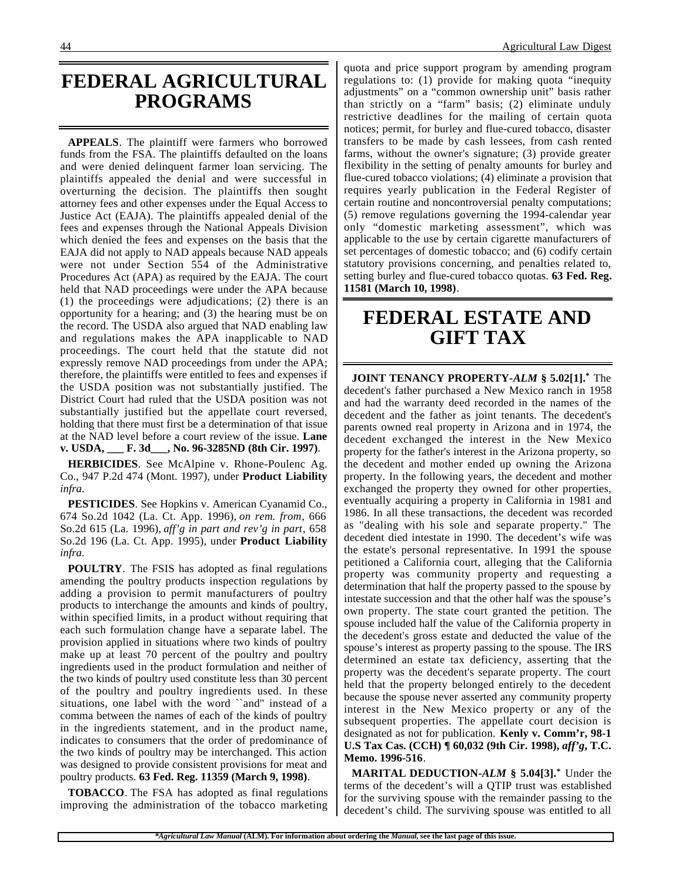### **FEDERAL AGRICULTURAL PROGRAMS**

**APPEALS**. The plaintiff were farmers who borrowed funds from the FSA. The plaintiffs defaulted on the loans and were denied delinquent farmer loan servicing. The plaintiffs appealed the denial and were successful in overturning the decision. The plaintiffs then sought attorney fees and other expenses under the Equal Access to Justice Act (EAJA). The plaintiffs appealed denial of the fees and expenses through the National Appeals Division which denied the fees and expenses on the basis that the EAJA did not apply to NAD appeals because NAD appeals were not under Section 554 of the Administrative Procedures Act (APA) as required by the EAJA. The court held that NAD proceedings were under the APA because (1) the proceedings were adjudications; (2) there is an opportunity for a hearing; and (3) the hearing must be on the record. The USDA also argued that NAD enabling law and regulations makes the APA inapplicable to NAD proceedings. The court held that the statute did not expressly remove NAD proceedings from under the APA; therefore, the plaintiffs were entitled to fees and expenses if the USDA position was not substantially justified. The District Court had ruled that the USDA position was not substantially justified but the appellate court reversed, holding that there must first be a determination of that issue at the NAD level before a court review of the issue. **Lane v. USDA, \_\_\_ F. 3d\_\_\_, No. 96-3285ND (8th Cir. 1997)**.

**HERBICIDES**. See McAlpine v. Rhone-Poulenc Ag. Co., 947 P.2d 474 (Mont. 1997), under **Product Liability** *infra*.

**PESTICIDES**. See Hopkins v. American Cyanamid Co., 674 So.2d 1042 (La. Ct. App. 1996), *on rem. from*, 666 So.2d 615 (La. 1996), *aff'g in part and rev'g in part*, 658 So.2d 196 (La. Ct. App. 1995), under **Product Liability** *infra*.

**POULTRY**. The FSIS has adopted as final regulations amending the poultry products inspection regulations by adding a provision to permit manufacturers of poultry products to interchange the amounts and kinds of poultry, within specified limits, in a product without requiring that each such formulation change have a separate label. The provision applied in situations where two kinds of poultry make up at least 70 percent of the poultry and poultry ingredients used in the product formulation and neither of the two kinds of poultry used constitute less than 30 percent of the poultry and poultry ingredients used. In these situations, one label with the word ``and'' instead of a comma between the names of each of the kinds of poultry in the ingredients statement, and in the product name, indicates to consumers that the order of predominance of the two kinds of poultry may be interchanged. This action was designed to provide consistent provisions for meat and poultry products. **63 Fed. Reg. 11359 (March 9, 1998)**.

**TOBACCO**. The FSA has adopted as final regulations improving the administration of the tobacco marketing quota and price support program by amending program regulations to: (1) provide for making quota "inequity adjustments" on a "common ownership unit" basis rather than strictly on a "farm" basis; (2) eliminate unduly restrictive deadlines for the mailing of certain quota notices; permit, for burley and flue-cured tobacco, disaster transfers to be made by cash lessees, from cash rented farms, without the owner's signature; (3) provide greater flexibility in the setting of penalty amounts for burley and flue-cured tobacco violations; (4) eliminate a provision that requires yearly publication in the Federal Register of certain routine and noncontroversial penalty computations; (5) remove regulations governing the 1994-calendar year only "domestic marketing assessment", which was applicable to the use by certain cigarette manufacturers of set percentages of domestic tobacco; and (6) codify certain statutory provisions concerning, and penalties related to, setting burley and flue-cured tobacco quotas. **63 Fed. Reg. 11581 (March 10, 1998)**.

## **FEDERAL ESTATE AND GIFT TAX**

**JOINT TENANCY PROPERTY-***ALM* **§ 5.02[1].\*** The decedent's father purchased a New Mexico ranch in 1958 and had the warranty deed recorded in the names of the decedent and the father as joint tenants. The decedent's parents owned real property in Arizona and in 1974, the decedent exchanged the interest in the New Mexico property for the father's interest in the Arizona property, so the decedent and mother ended up owning the Arizona property. In the following years, the decedent and mother exchanged the property they owned for other properties, eventually acquiring a property in California in 1981 and 1986. In all these transactions, the decedent was recorded as "dealing with his sole and separate property." The decedent died intestate in 1990. The decedent's wife was the estate's personal representative. In 1991 the spouse petitioned a California court, alleging that the California property was community property and requesting a determination that half the property passed to the spouse by intestate succession and that the other half was the spouse's own property. The state court granted the petition. The spouse included half the value of the California property in the decedent's gross estate and deducted the value of the spouse's interest as property passing to the spouse. The IRS determined an estate tax deficiency, asserting that the property was the decedent's separate property. The court held that the property belonged entirely to the decedent because the spouse never asserted any community property interest in the New Mexico property or any of the subsequent properties. The appellate court decision is designated as not for publication. **Kenly v. Comm'r, 98-1 U.S Tax Cas. (CCH) ¶ 60,032 (9th Cir. 1998),** *aff'g***, T.C. Memo. 1996-516**.

**MARITAL DEDUCTION-***ALM* **§ 5.04[3].\*** Under the terms of the decedent's will a QTIP trust was established for the surviving spouse with the remainder passing to the decedent's child. The surviving spouse was entitled to all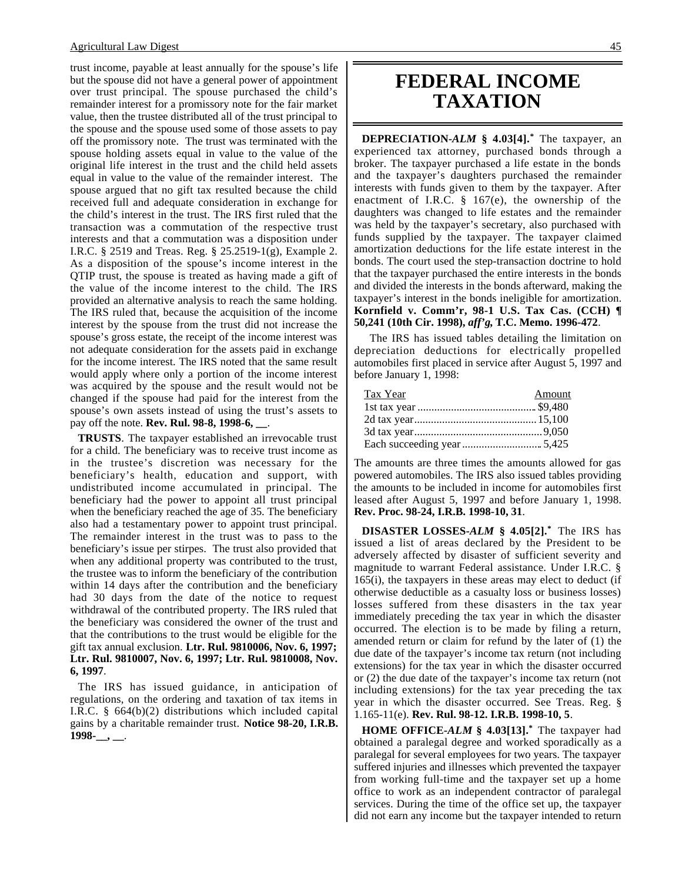trust income, payable at least annually for the spouse's life but the spouse did not have a general power of appointment over trust principal. The spouse purchased the child's remainder interest for a promissory note for the fair market value, then the trustee distributed all of the trust principal to the spouse and the spouse used some of those assets to pay off the promissory note. The trust was terminated with the spouse holding assets equal in value to the value of the original life interest in the trust and the child held assets equal in value to the value of the remainder interest. The spouse argued that no gift tax resulted because the child received full and adequate consideration in exchange for the child's interest in the trust. The IRS first ruled that the transaction was a commutation of the respective trust interests and that a commutation was a disposition under I.R.C. § 2519 and Treas. Reg. § 25.2519-1(g), Example 2. As a disposition of the spouse's income interest in the QTIP trust, the spouse is treated as having made a gift of the value of the income interest to the child. The IRS provided an alternative analysis to reach the same holding. The IRS ruled that, because the acquisition of the income interest by the spouse from the trust did not increase the spouse's gross estate, the receipt of the income interest was not adequate consideration for the assets paid in exchange for the income interest. The IRS noted that the same result would apply where only a portion of the income interest was acquired by the spouse and the result would not be changed if the spouse had paid for the interest from the spouse's own assets instead of using the trust's assets to pay off the note. **Rev. Rul. 98-8, 1998-6, \_\_**.

**TRUSTS**. The taxpayer established an irrevocable trust for a child. The beneficiary was to receive trust income as in the trustee's discretion was necessary for the beneficiary's health, education and support, with undistributed income accumulated in principal. The beneficiary had the power to appoint all trust principal when the beneficiary reached the age of 35. The beneficiary also had a testamentary power to appoint trust principal. The remainder interest in the trust was to pass to the beneficiary's issue per stirpes. The trust also provided that when any additional property was contributed to the trust, the trustee was to inform the beneficiary of the contribution within 14 days after the contribution and the beneficiary had 30 days from the date of the notice to request withdrawal of the contributed property. The IRS ruled that the beneficiary was considered the owner of the trust and that the contributions to the trust would be eligible for the gift tax annual exclusion. **Ltr. Rul. 9810006, Nov. 6, 1997; Ltr. Rul. 9810007, Nov. 6, 1997; Ltr. Rul. 9810008, Nov. 6, 1997**.

The IRS has issued guidance, in anticipation of regulations, on the ordering and taxation of tax items in I.R.C. § 664(b)(2) distributions which included capital gains by a charitable remainder trust. **Notice 98-20, I.R.B. 1998-\_\_, \_\_**.

### **FEDERAL INCOME TAXATION**

**DEPRECIATION-***ALM* **§ 4.03[4].\*** The taxpayer, an experienced tax attorney, purchased bonds through a broker. The taxpayer purchased a life estate in the bonds and the taxpayer's daughters purchased the remainder interests with funds given to them by the taxpayer. After enactment of I.R.C. § 167(e), the ownership of the daughters was changed to life estates and the remainder was held by the taxpayer's secretary, also purchased with funds supplied by the taxpayer. The taxpayer claimed amortization deductions for the life estate interest in the bonds. The court used the step-transaction doctrine to hold that the taxpayer purchased the entire interests in the bonds and divided the interests in the bonds afterward, making the taxpayer's interest in the bonds ineligible for amortization. **Kornfield v. Comm'r, 98-1 U.S. Tax Cas. (CCH) ¶ 50,241 (10th Cir. 1998),** *aff'g***, T.C. Memo. 1996-472**.

The IRS has issued tables detailing the limitation on depreciation deductions for electrically propelled automobiles first placed in service after August 5, 1997 and before January 1, 1998:

| Tax Year | Amount |
|----------|--------|
|          |        |
|          |        |
|          |        |
|          |        |

The amounts are three times the amounts allowed for gas powered automobiles. The IRS also issued tables providing the amounts to be included in income for automobiles first leased after August 5, 1997 and before January 1, 1998. **Rev. Proc. 98-24, I.R.B. 1998-10, 31**.

**DISASTER LOSSES-***ALM* **§ 4.05[2].\*** The IRS has issued a list of areas declared by the President to be adversely affected by disaster of sufficient severity and magnitude to warrant Federal assistance. Under I.R.C. § 165(i), the taxpayers in these areas may elect to deduct (if otherwise deductible as a casualty loss or business losses) losses suffered from these disasters in the tax year immediately preceding the tax year in which the disaster occurred. The election is to be made by filing a return, amended return or claim for refund by the later of (1) the due date of the taxpayer's income tax return (not including extensions) for the tax year in which the disaster occurred or (2) the due date of the taxpayer's income tax return (not including extensions) for the tax year preceding the tax year in which the disaster occurred. See Treas. Reg. § 1.165-11(e). **Rev. Rul. 98-12. I.R.B. 1998-10, 5**.

**HOME OFFICE-***ALM* **§ 4.03[13].\*** The taxpayer had obtained a paralegal degree and worked sporadically as a paralegal for several employees for two years. The taxpayer suffered injuries and illnesses which prevented the taxpayer from working full-time and the taxpayer set up a home office to work as an independent contractor of paralegal services. During the time of the office set up, the taxpayer did not earn any income but the taxpayer intended to return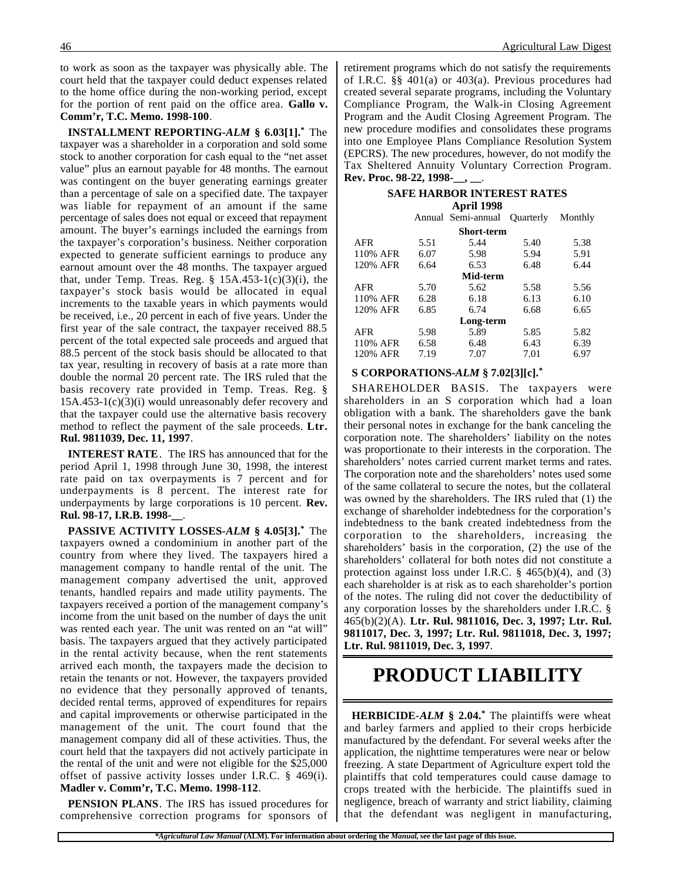to work as soon as the taxpayer was physically able. The court held that the taxpayer could deduct expenses related to the home office during the non-working period, except for the portion of rent paid on the office area. **Gallo v. Comm'r, T.C. Memo. 1998-100**.

**INSTALLMENT REPORTING-***ALM* **§ 6.03[1].\*** The taxpayer was a shareholder in a corporation and sold some stock to another corporation for cash equal to the "net asset value" plus an earnout payable for 48 months. The earnout was contingent on the buyer generating earnings greater than a percentage of sale on a specified date. The taxpayer was liable for repayment of an amount if the same percentage of sales does not equal or exceed that repayment amount. The buyer's earnings included the earnings from the taxpayer's corporation's business. Neither corporation expected to generate sufficient earnings to produce any earnout amount over the 48 months. The taxpayer argued that, under Temp. Treas. Reg.  $\S$  15A.453-1(c)(3)(i), the taxpayer's stock basis would be allocated in equal increments to the taxable years in which payments would be received, i.e., 20 percent in each of five years. Under the first year of the sale contract, the taxpayer received 88.5 percent of the total expected sale proceeds and argued that 88.5 percent of the stock basis should be allocated to that tax year, resulting in recovery of basis at a rate more than double the normal 20 percent rate. The IRS ruled that the basis recovery rate provided in Temp. Treas. Reg. §  $15A.453-1(c)(3)(i)$  would unreasonably defer recovery and that the taxpayer could use the alternative basis recovery method to reflect the payment of the sale proceeds. **Ltr. Rul. 9811039, Dec. 11, 1997**.

**INTEREST RATE**. The IRS has announced that for the period April 1, 1998 through June 30, 1998, the interest rate paid on tax overpayments is 7 percent and for underpayments is 8 percent. The interest rate for underpayments by large corporations is 10 percent. **Rev. Rul. 98-17, I.R.B. 1998-\_\_**.

**PASSIVE ACTIVITY LOSSES-***ALM* **§ 4.05[3].\*** The taxpayers owned a condominium in another part of the country from where they lived. The taxpayers hired a management company to handle rental of the unit. The management company advertised the unit, approved tenants, handled repairs and made utility payments. The taxpayers received a portion of the management company's income from the unit based on the number of days the unit was rented each year. The unit was rented on an "at will" basis. The taxpayers argued that they actively participated in the rental activity because, when the rent statements arrived each month, the taxpayers made the decision to retain the tenants or not. However, the taxpayers provided no evidence that they personally approved of tenants, decided rental terms, approved of expenditures for repairs and capital improvements or otherwise participated in the management of the unit. The court found that the management company did all of these activities. Thus, the court held that the taxpayers did not actively participate in the rental of the unit and were not eligible for the \$25,000 offset of passive activity losses under I.R.C. § 469(i). **Madler v. Comm'r, T.C. Memo. 1998-112**.

**PENSION PLANS**. The IRS has issued procedures for comprehensive correction programs for sponsors of retirement programs which do not satisfy the requirements of I.R.C. §§ 401(a) or 403(a). Previous procedures had created several separate programs, including the Voluntary Compliance Program, the Walk-in Closing Agreement Program and the Audit Closing Agreement Program. The new procedure modifies and consolidates these programs into one Employee Plans Compliance Resolution System (EPCRS). The new procedures, however, do not modify the Tax Sheltered Annuity Voluntary Correction Program. **Rev. Proc. 98-22, 1998-\_\_, \_\_**.

#### **SAFE HARBOR INTEREST RATES April 1998**

|          |      | APLIL 1770         |                  |         |
|----------|------|--------------------|------------------|---------|
|          |      | Annual Semi-annual | <b>Ouarterly</b> | Monthly |
|          |      | <b>Short-term</b>  |                  |         |
| AFR      | 5.51 | 5.44               | 5.40             | 5.38    |
| 110% AFR | 6.07 | 5.98               | 5.94             | 5.91    |
| 120% AFR | 6.64 | 6.53               | 6.48             | 6.44    |
|          |      | Mid-term           |                  |         |
| AFR      | 5.70 | 5.62               | 5.58             | 5.56    |
| 110% AFR | 6.28 | 6.18               | 6.13             | 6.10    |
| 120% AFR | 6.85 | 6.74               | 6.68             | 6.65    |
|          |      | Long-term          |                  |         |
| AFR      | 5.98 | 5.89               | 5.85             | 5.82    |
| 110% AFR | 6.58 | 6.48               | 6.43             | 6.39    |
| 120% AFR | 7.19 | 7.07               | 7.01             | 6.97    |

#### **S CORPORATIONS-***ALM* **§ 7.02[3][c].\***

SHAREHOLDER BASIS. The taxpayers were shareholders in an S corporation which had a loan obligation with a bank. The shareholders gave the bank their personal notes in exchange for the bank canceling the corporation note. The shareholders' liability on the notes was proportionate to their interests in the corporation. The shareholders' notes carried current market terms and rates. The corporation note and the shareholders' notes used some of the same collateral to secure the notes, but the collateral was owned by the shareholders. The IRS ruled that (1) the exchange of shareholder indebtedness for the corporation's indebtedness to the bank created indebtedness from the corporation to the shareholders, increasing the shareholders' basis in the corporation, (2) the use of the shareholders' collateral for both notes did not constitute a protection against loss under I.R.C. § 465(b)(4), and (3) each shareholder is at risk as to each shareholder's portion of the notes. The ruling did not cover the deductibility of any corporation losses by the shareholders under I.R.C. § 465(b)(2)(A). **Ltr. Rul. 9811016, Dec. 3, 1997; Ltr. Rul. 9811017, Dec. 3, 1997; Ltr. Rul. 9811018, Dec. 3, 1997; Ltr. Rul. 9811019, Dec. 3, 1997**.

## **PRODUCT LIABILITY**

**HERBICIDE-***ALM* **§ 2.04.\*** The plaintiffs were wheat and barley farmers and applied to their crops herbicide manufactured by the defendant. For several weeks after the application, the nighttime temperatures were near or below freezing. A state Department of Agriculture expert told the plaintiffs that cold temperatures could cause damage to crops treated with the herbicide. The plaintiffs sued in negligence, breach of warranty and strict liability, claiming that the defendant was negligent in manufacturing,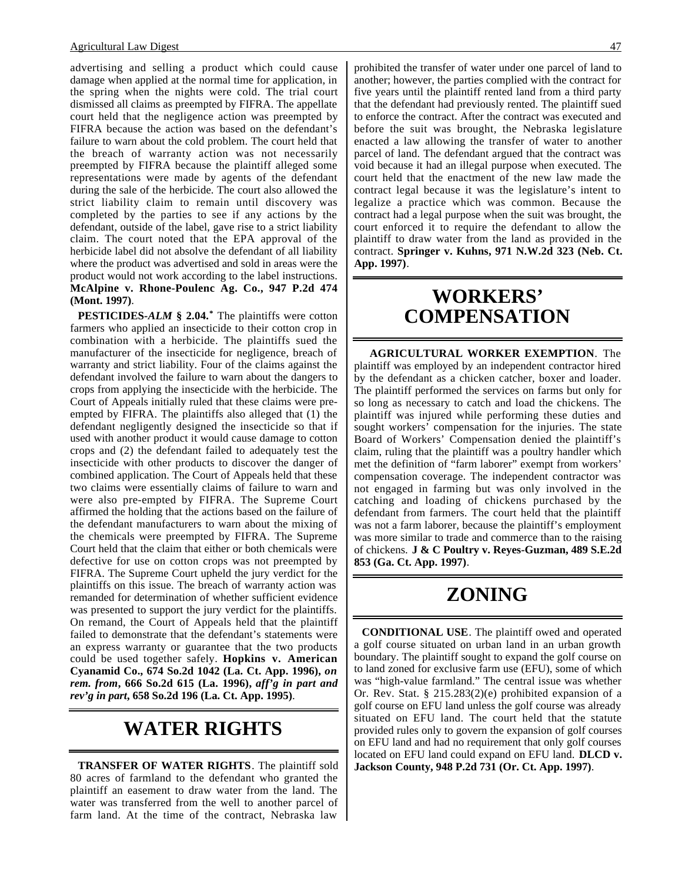advertising and selling a product which could cause damage when applied at the normal time for application, in the spring when the nights were cold. The trial court dismissed all claims as preempted by FIFRA. The appellate court held that the negligence action was preempted by FIFRA because the action was based on the defendant's failure to warn about the cold problem. The court held that the breach of warranty action was not necessarily preempted by FIFRA because the plaintiff alleged some representations were made by agents of the defendant during the sale of the herbicide. The court also allowed the strict liability claim to remain until discovery was completed by the parties to see if any actions by the defendant, outside of the label, gave rise to a strict liability claim. The court noted that the EPA approval of the herbicide label did not absolve the defendant of all liability where the product was advertised and sold in areas were the product would not work according to the label instructions. **McAlpine v. Rhone-Poulenc Ag. Co., 947 P.2d 474 (Mont. 1997)**.

**PESTICIDES-***ALM* **§ 2.04.\*** The plaintiffs were cotton farmers who applied an insecticide to their cotton crop in combination with a herbicide. The plaintiffs sued the manufacturer of the insecticide for negligence, breach of warranty and strict liability. Four of the claims against the defendant involved the failure to warn about the dangers to crops from applying the insecticide with the herbicide. The Court of Appeals initially ruled that these claims were preempted by FIFRA. The plaintiffs also alleged that (1) the defendant negligently designed the insecticide so that if used with another product it would cause damage to cotton crops and (2) the defendant failed to adequately test the insecticide with other products to discover the danger of combined application. The Court of Appeals held that these two claims were essentially claims of failure to warn and were also pre-empted by FIFRA. The Supreme Court affirmed the holding that the actions based on the failure of the defendant manufacturers to warn about the mixing of the chemicals were preempted by FIFRA. The Supreme Court held that the claim that either or both chemicals were defective for use on cotton crops was not preempted by FIFRA. The Supreme Court upheld the jury verdict for the plaintiffs on this issue. The breach of warranty action was remanded for determination of whether sufficient evidence was presented to support the jury verdict for the plaintiffs. On remand, the Court of Appeals held that the plaintiff failed to demonstrate that the defendant's statements were an express warranty or guarantee that the two products could be used together safely. **Hopkins v. American Cyanamid Co., 674 So.2d 1042 (La. Ct. App. 1996),** *on rem. from***, 666 So.2d 615 (La. 1996),** *aff'g in part and rev'g in part***, 658 So.2d 196 (La. Ct. App. 1995)**.

## **WATER RIGHTS**

**TRANSFER OF WATER RIGHTS**. The plaintiff sold 80 acres of farmland to the defendant who granted the plaintiff an easement to draw water from the land. The water was transferred from the well to another parcel of farm land. At the time of the contract, Nebraska law

prohibited the transfer of water under one parcel of land to another; however, the parties complied with the contract for five years until the plaintiff rented land from a third party that the defendant had previously rented. The plaintiff sued to enforce the contract. After the contract was executed and before the suit was brought, the Nebraska legislature enacted a law allowing the transfer of water to another parcel of land. The defendant argued that the contract was void because it had an illegal purpose when executed. The court held that the enactment of the new law made the contract legal because it was the legislature's intent to legalize a practice which was common. Because the contract had a legal purpose when the suit was brought, the court enforced it to require the defendant to allow the plaintiff to draw water from the land as provided in the contract. **Springer v. Kuhns, 971 N.W.2d 323 (Neb. Ct. App. 1997)**.

### **WORKERS' COMPENSATION**

**AGRICULTURAL WORKER EXEMPTION**. The plaintiff was employed by an independent contractor hired by the defendant as a chicken catcher, boxer and loader. The plaintiff performed the services on farms but only for so long as necessary to catch and load the chickens. The plaintiff was injured while performing these duties and sought workers' compensation for the injuries. The state Board of Workers' Compensation denied the plaintiff's claim, ruling that the plaintiff was a poultry handler which met the definition of "farm laborer" exempt from workers' compensation coverage. The independent contractor was not engaged in farming but was only involved in the catching and loading of chickens purchased by the defendant from farmers. The court held that the plaintiff was not a farm laborer, because the plaintiff's employment was more similar to trade and commerce than to the raising of chickens. **J & C Poultry v. Reyes-Guzman, 489 S.E.2d 853 (Ga. Ct. App. 1997)**.

## **ZONING**

**CONDITIONAL USE**. The plaintiff owed and operated a golf course situated on urban land in an urban growth boundary. The plaintiff sought to expand the golf course on to land zoned for exclusive farm use (EFU), some of which was "high-value farmland." The central issue was whether Or. Rev. Stat. § 215.283(2)(e) prohibited expansion of a golf course on EFU land unless the golf course was already situated on EFU land. The court held that the statute provided rules only to govern the expansion of golf courses on EFU land and had no requirement that only golf courses located on EFU land could expand on EFU land. **DLCD v. Jackson County, 948 P.2d 731 (Or. Ct. App. 1997)**.